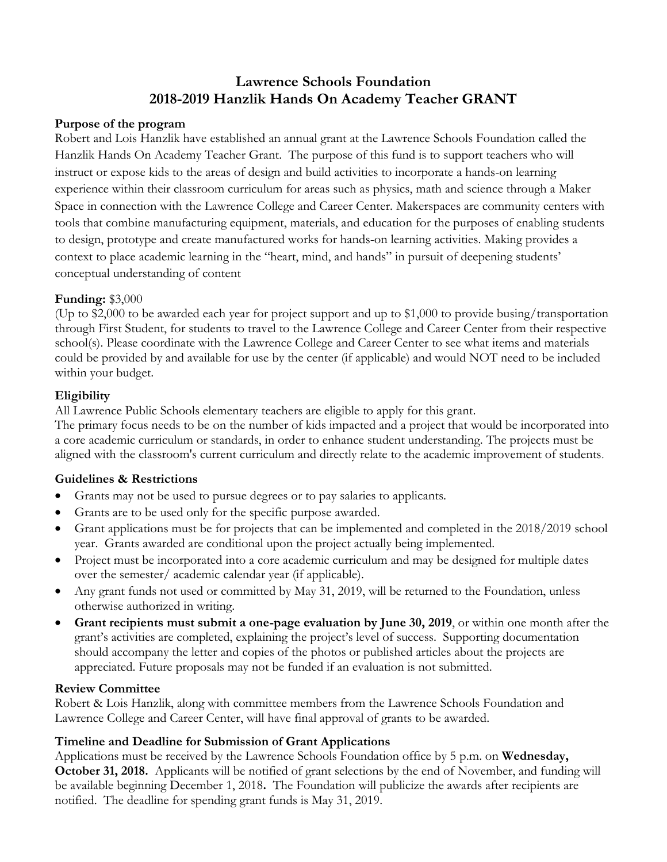# **Lawrence Schools Foundation 2018-2019 Hanzlik Hands On Academy Teacher GRANT**

#### **Purpose of the program**

Robert and Lois Hanzlik have established an annual grant at the Lawrence Schools Foundation called the Hanzlik Hands On Academy Teacher Grant. The purpose of this fund is to support teachers who will instruct or expose kids to the areas of design and build activities to incorporate a hands-on learning experience within their classroom curriculum for areas such as physics, math and science through a Maker Space in connection with the Lawrence College and Career Center. Makerspaces are community centers with tools that combine manufacturing equipment, materials, and education for the purposes of enabling students to design, prototype and create manufactured works for hands-on learning activities. Making provides a context to place academic learning in the "heart, mind, and hands" in pursuit of deepening students' conceptual understanding of content

### **Funding:** \$3,000

(Up to \$2,000 to be awarded each year for project support and up to \$1,000 to provide busing/transportation through First Student, for students to travel to the Lawrence College and Career Center from their respective school(s). Please coordinate with the Lawrence College and Career Center to see what items and materials could be provided by and available for use by the center (if applicable) and would NOT need to be included within your budget.

## **Eligibility**

All Lawrence Public Schools elementary teachers are eligible to apply for this grant.

The primary focus needs to be on the number of kids impacted and a project that would be incorporated into a core academic curriculum or standards, in order to enhance student understanding. The projects must be aligned with the classroom's current curriculum and directly relate to the academic improvement of students.

### **Guidelines & Restrictions**

- Grants may not be used to pursue degrees or to pay salaries to applicants.
- Grants are to be used only for the specific purpose awarded.
- Grant applications must be for projects that can be implemented and completed in the 2018/2019 school year. Grants awarded are conditional upon the project actually being implemented.
- Project must be incorporated into a core academic curriculum and may be designed for multiple dates over the semester/ academic calendar year (if applicable).
- Any grant funds not used or committed by May 31, 2019, will be returned to the Foundation, unless otherwise authorized in writing.
- **Grant recipients must submit a one-page evaluation by June 30, 2019**, or within one month after the grant's activities are completed, explaining the project's level of success. Supporting documentation should accompany the letter and copies of the photos or published articles about the projects are appreciated. Future proposals may not be funded if an evaluation is not submitted.

### **Review Committee**

Robert & Lois Hanzlik, along with committee members from the Lawrence Schools Foundation and Lawrence College and Career Center, will have final approval of grants to be awarded.

## **Timeline and Deadline for Submission of Grant Applications**

Applications must be received by the Lawrence Schools Foundation office by 5 p.m. on **Wednesday, October 31, 2018.** Applicants will be notified of grant selections by the end of November, and funding will be available beginning December 1, 2018**.** The Foundation will publicize the awards after recipients are notified. The deadline for spending grant funds is May 31, 2019.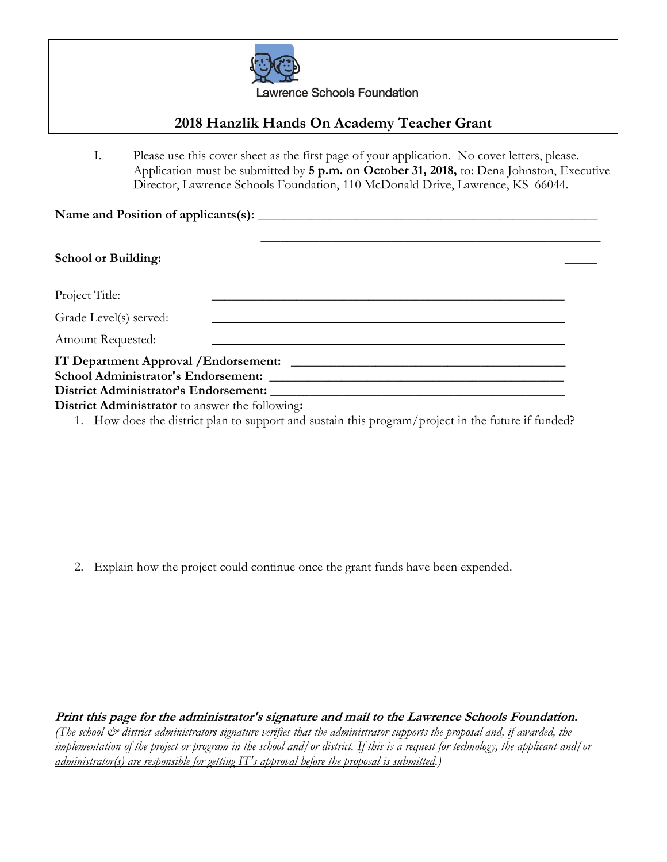

awrence Schools Foundation

# **2018 Hanzlik Hands On Academy Teacher Grant**

I. Please use this cover sheet as the first page of your application. No cover letters, please. Application must be submitted by **5 p.m. on October 31, 2018,** to: Dena Johnston, Executive Director, Lawrence Schools Foundation, 110 McDonald Drive, Lawrence, KS 66044.

Name and Position of applicants(s):

| <b>School or Building:</b>                                                          |  |  |
|-------------------------------------------------------------------------------------|--|--|
| Project Title:                                                                      |  |  |
| Grade Level(s) served:                                                              |  |  |
| Amount Requested:                                                                   |  |  |
| IT Department Approval / Endorsement:<br><b>School Administrator's Endorsement:</b> |  |  |
| <b>District Administrator's Endorsement:</b>                                        |  |  |
| <b>District Administrator</b> to answer the following:                              |  |  |

1. How does the district plan to support and sustain this program/project in the future if funded?

2. Explain how the project could continue once the grant funds have been expended.

**Print this page for the administrator's signature and mail to the Lawrence Schools Foundation.**  *(The school & district administrators signature verifies that the administrator supports the proposal and, if awarded, the implementation of the project or program in the school and/or district. If this is a request for technology, the applicant and/or administrator(s) are responsible for getting IT's approval before the proposal is submitted.)*